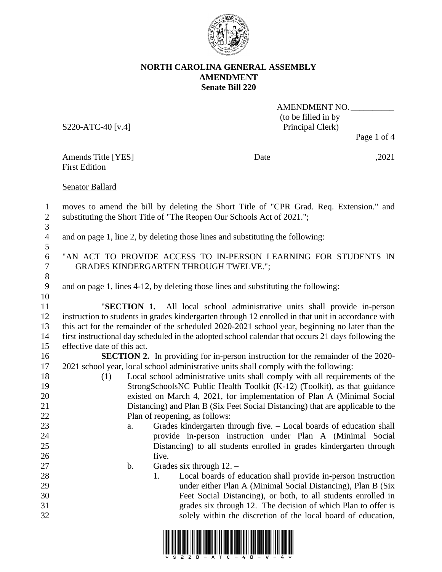

S220-ATC-40 [v.4] Principal Clerk)

AMENDMENT NO. (to be filled in by

Page 1 of 4

First Edition

Amends Title [YES] Date ,2021

Senator Ballard

 moves to amend the bill by deleting the Short Title of "CPR Grad. Req. Extension." and substituting the Short Title of "The Reopen Our Schools Act of 2021.";  $\frac{3}{4}$ 

and on page 1, line 2, by deleting those lines and substituting the following:

 "AN ACT TO PROVIDE ACCESS TO IN-PERSON LEARNING FOR STUDENTS IN GRADES KINDERGARTEN THROUGH TWELVE.";

and on page 1, lines 4-12, by deleting those lines and substituting the following:

 "**SECTION 1.** All local school administrative units shall provide in-person instruction to students in grades kindergarten through 12 enrolled in that unit in accordance with this act for the remainder of the scheduled 2020-2021 school year, beginning no later than the first instructional day scheduled in the adopted school calendar that occurs 21 days following the effective date of this act.

**SECTION 2.** In providing for in-person instruction for the remainder of the 2020-2021 school year, local school administrative units shall comply with the following:

- (1) Local school administrative units shall comply with all requirements of the StrongSchoolsNC Public Health Toolkit (K-12) (Toolkit), as that guidance existed on March 4, 2021, for implementation of Plan A (Minimal Social Distancing) and Plan B (Six Feet Social Distancing) that are applicable to the Plan of reopening, as follows:
- a. Grades kindergarten through five. Local boards of education shall provide in-person instruction under Plan A (Minimal Social Distancing) to all students enrolled in grades kindergarten through 26 five.
- 27 b. Grades six through 12. –
- 1. Local boards of education shall provide in-person instruction under either Plan A (Minimal Social Distancing), Plan B (Six Feet Social Distancing), or both, to all students enrolled in grades six through 12. The decision of which Plan to offer is solely within the discretion of the local board of education,

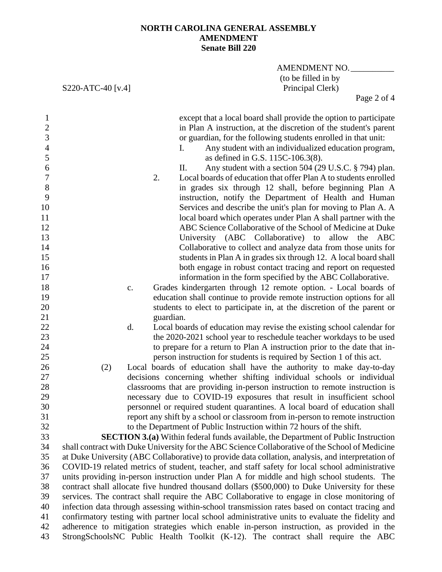S220-ATC-40 [v.4]

AMENDMENT NO. (to be filled in by<br>Principal Clerk)

Page 2 of 4

| $\mathbf{1}$<br>$\frac{2}{3}$<br>$\overline{4}$<br>5<br>6<br>$\boldsymbol{7}$<br>8<br>9<br>10<br>11<br>12<br>13 |     |    | 2.        | except that a local board shall provide the option to participate<br>in Plan A instruction, at the discretion of the student's parent<br>or guardian, for the following students enrolled in that unit:<br>Any student with an individualized education program,<br>I.<br>as defined in G.S. 115C-106.3(8).<br>Any student with a section 504 (29 U.S.C. § 794) plan.<br>П.<br>Local boards of education that offer Plan A to students enrolled<br>in grades six through 12 shall, before beginning Plan A<br>instruction, notify the Department of Health and Human<br>Services and describe the unit's plan for moving to Plan A. A<br>local board which operates under Plan A shall partner with the<br>ABC Science Collaborative of the School of Medicine at Duke<br>University (ABC Collaborative) to allow the ABC |
|-----------------------------------------------------------------------------------------------------------------|-----|----|-----------|---------------------------------------------------------------------------------------------------------------------------------------------------------------------------------------------------------------------------------------------------------------------------------------------------------------------------------------------------------------------------------------------------------------------------------------------------------------------------------------------------------------------------------------------------------------------------------------------------------------------------------------------------------------------------------------------------------------------------------------------------------------------------------------------------------------------------|
|                                                                                                                 |     |    |           |                                                                                                                                                                                                                                                                                                                                                                                                                                                                                                                                                                                                                                                                                                                                                                                                                           |
| 14                                                                                                              |     |    |           | Collaborative to collect and analyze data from those units for                                                                                                                                                                                                                                                                                                                                                                                                                                                                                                                                                                                                                                                                                                                                                            |
| 15                                                                                                              |     |    |           | students in Plan A in grades six through 12. A local board shall                                                                                                                                                                                                                                                                                                                                                                                                                                                                                                                                                                                                                                                                                                                                                          |
| 16                                                                                                              |     |    |           | both engage in robust contact tracing and report on requested                                                                                                                                                                                                                                                                                                                                                                                                                                                                                                                                                                                                                                                                                                                                                             |
| 17                                                                                                              |     |    |           | information in the form specified by the ABC Collaborative.                                                                                                                                                                                                                                                                                                                                                                                                                                                                                                                                                                                                                                                                                                                                                               |
| 18                                                                                                              |     | c. |           | Grades kindergarten through 12 remote option. - Local boards of                                                                                                                                                                                                                                                                                                                                                                                                                                                                                                                                                                                                                                                                                                                                                           |
| 19                                                                                                              |     |    |           | education shall continue to provide remote instruction options for all                                                                                                                                                                                                                                                                                                                                                                                                                                                                                                                                                                                                                                                                                                                                                    |
| 20                                                                                                              |     |    |           | students to elect to participate in, at the discretion of the parent or                                                                                                                                                                                                                                                                                                                                                                                                                                                                                                                                                                                                                                                                                                                                                   |
| 21                                                                                                              |     |    | guardian. |                                                                                                                                                                                                                                                                                                                                                                                                                                                                                                                                                                                                                                                                                                                                                                                                                           |
| 22                                                                                                              |     | d. |           | Local boards of education may revise the existing school calendar for                                                                                                                                                                                                                                                                                                                                                                                                                                                                                                                                                                                                                                                                                                                                                     |
| 23                                                                                                              |     |    |           | the 2020-2021 school year to reschedule teacher workdays to be used                                                                                                                                                                                                                                                                                                                                                                                                                                                                                                                                                                                                                                                                                                                                                       |
| 24                                                                                                              |     |    |           | to prepare for a return to Plan A instruction prior to the date that in-                                                                                                                                                                                                                                                                                                                                                                                                                                                                                                                                                                                                                                                                                                                                                  |
| 25                                                                                                              |     |    |           | person instruction for students is required by Section 1 of this act.                                                                                                                                                                                                                                                                                                                                                                                                                                                                                                                                                                                                                                                                                                                                                     |
| 26                                                                                                              | (2) |    |           | Local boards of education shall have the authority to make day-to-day                                                                                                                                                                                                                                                                                                                                                                                                                                                                                                                                                                                                                                                                                                                                                     |
| 27                                                                                                              |     |    |           | decisions concerning whether shifting individual schools or individual                                                                                                                                                                                                                                                                                                                                                                                                                                                                                                                                                                                                                                                                                                                                                    |
| 28                                                                                                              |     |    |           | classrooms that are providing in-person instruction to remote instruction is                                                                                                                                                                                                                                                                                                                                                                                                                                                                                                                                                                                                                                                                                                                                              |
| 29                                                                                                              |     |    |           | necessary due to COVID-19 exposures that result in insufficient school                                                                                                                                                                                                                                                                                                                                                                                                                                                                                                                                                                                                                                                                                                                                                    |
| 30                                                                                                              |     |    |           | personnel or required student quarantines. A local board of education shall                                                                                                                                                                                                                                                                                                                                                                                                                                                                                                                                                                                                                                                                                                                                               |
| 31                                                                                                              |     |    |           | report any shift by a school or classroom from in-person to remote instruction                                                                                                                                                                                                                                                                                                                                                                                                                                                                                                                                                                                                                                                                                                                                            |
| 32                                                                                                              |     |    |           | to the Department of Public Instruction within 72 hours of the shift.                                                                                                                                                                                                                                                                                                                                                                                                                                                                                                                                                                                                                                                                                                                                                     |
| 33                                                                                                              |     |    |           | <b>SECTION 3.(a)</b> Within federal funds available, the Department of Public Instruction                                                                                                                                                                                                                                                                                                                                                                                                                                                                                                                                                                                                                                                                                                                                 |
| 34                                                                                                              |     |    |           | shall contract with Duke University for the ABC Science Collaborative of the School of Medicine                                                                                                                                                                                                                                                                                                                                                                                                                                                                                                                                                                                                                                                                                                                           |
| 35                                                                                                              |     |    |           | at Duke University (ABC Collaborative) to provide data collation, analysis, and interpretation of                                                                                                                                                                                                                                                                                                                                                                                                                                                                                                                                                                                                                                                                                                                         |
| 36                                                                                                              |     |    |           | COVID-19 related metrics of student, teacher, and staff safety for local school administrative                                                                                                                                                                                                                                                                                                                                                                                                                                                                                                                                                                                                                                                                                                                            |
| 37                                                                                                              |     |    |           | units providing in-person instruction under Plan A for middle and high school students. The                                                                                                                                                                                                                                                                                                                                                                                                                                                                                                                                                                                                                                                                                                                               |
| 38                                                                                                              |     |    |           | contract shall allocate five hundred thousand dollars (\$500,000) to Duke University for these                                                                                                                                                                                                                                                                                                                                                                                                                                                                                                                                                                                                                                                                                                                            |
| 39                                                                                                              |     |    |           | services. The contract shall require the ABC Collaborative to engage in close monitoring of                                                                                                                                                                                                                                                                                                                                                                                                                                                                                                                                                                                                                                                                                                                               |
| 40                                                                                                              |     |    |           | infection data through assessing within-school transmission rates based on contact tracing and                                                                                                                                                                                                                                                                                                                                                                                                                                                                                                                                                                                                                                                                                                                            |
| 41                                                                                                              |     |    |           | confirmatory testing with partner local school administrative units to evaluate the fidelity and                                                                                                                                                                                                                                                                                                                                                                                                                                                                                                                                                                                                                                                                                                                          |
| 42                                                                                                              |     |    |           | adherence to mitigation strategies which enable in-person instruction, as provided in the                                                                                                                                                                                                                                                                                                                                                                                                                                                                                                                                                                                                                                                                                                                                 |
| 43                                                                                                              |     |    |           | StrongSchoolsNC Public Health Toolkit (K-12). The contract shall require the ABC                                                                                                                                                                                                                                                                                                                                                                                                                                                                                                                                                                                                                                                                                                                                          |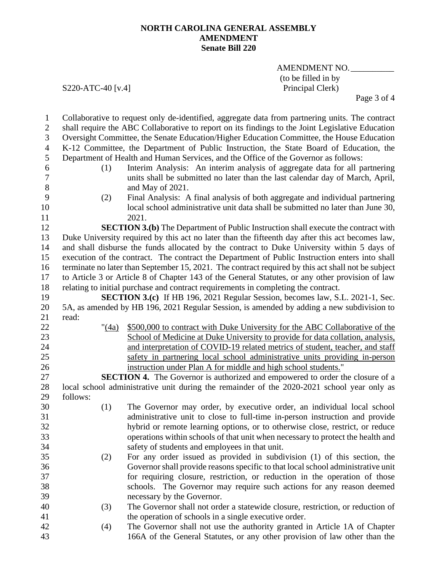AMENDMENT NO. (to be filled in by<br>Principal Clerk)

S220-ATC-40 [v.4]

Page 3 of 4

| $\mathbf{1}$   |                                                                                                  | Collaborative to request only de-identified, aggregate data from partnering units. The contract    |  |  |  |
|----------------|--------------------------------------------------------------------------------------------------|----------------------------------------------------------------------------------------------------|--|--|--|
| $\overline{2}$ | shall require the ABC Collaborative to report on its findings to the Joint Legislative Education |                                                                                                    |  |  |  |
| 3              |                                                                                                  | Oversight Committee, the Senate Education/Higher Education Committee, the House Education          |  |  |  |
| $\overline{4}$ |                                                                                                  | K-12 Committee, the Department of Public Instruction, the State Board of Education, the            |  |  |  |
| 5              |                                                                                                  | Department of Health and Human Services, and the Office of the Governor as follows:                |  |  |  |
| 6              | (1)                                                                                              | Interim Analysis: An interim analysis of aggregate data for all partnering                         |  |  |  |
| $\tau$         |                                                                                                  | units shall be submitted no later than the last calendar day of March, April,                      |  |  |  |
| 8              |                                                                                                  | and May of 2021.                                                                                   |  |  |  |
| 9              | (2)                                                                                              | Final Analysis: A final analysis of both aggregate and individual partnering                       |  |  |  |
| 10             |                                                                                                  | local school administrative unit data shall be submitted no later than June 30,                    |  |  |  |
| 11             |                                                                                                  | 2021.                                                                                              |  |  |  |
| 12             |                                                                                                  | <b>SECTION 3.(b)</b> The Department of Public Instruction shall execute the contract with          |  |  |  |
| 13             |                                                                                                  | Duke University required by this act no later than the fifteenth day after this act becomes law,   |  |  |  |
| 14             | and shall disburse the funds allocated by the contract to Duke University within 5 days of       |                                                                                                    |  |  |  |
| 15             |                                                                                                  | execution of the contract. The contract the Department of Public Instruction enters into shall     |  |  |  |
| 16             |                                                                                                  | terminate no later than September 15, 2021. The contract required by this act shall not be subject |  |  |  |
| 17             |                                                                                                  | to Article 3 or Article 8 of Chapter 143 of the General Statutes, or any other provision of law    |  |  |  |
| 18             | relating to initial purchase and contract requirements in completing the contract.               |                                                                                                    |  |  |  |
| 19             |                                                                                                  | <b>SECTION 3.(c)</b> If HB 196, 2021 Regular Session, becomes law, S.L. 2021-1, Sec.               |  |  |  |
| 20             |                                                                                                  | 5A, as amended by HB 196, 2021 Regular Session, is amended by adding a new subdivision to          |  |  |  |
| 21             | read:                                                                                            |                                                                                                    |  |  |  |
| 22             | " $(4a)$                                                                                         | \$500,000 to contract with Duke University for the ABC Collaborative of the                        |  |  |  |
| 23             |                                                                                                  | School of Medicine at Duke University to provide for data collation, analysis,                     |  |  |  |
| 24             |                                                                                                  | and interpretation of COVID-19 related metrics of student, teacher, and staff                      |  |  |  |
| 25             |                                                                                                  | safety in partnering local school administrative units providing in-person                         |  |  |  |
| 26             |                                                                                                  | instruction under Plan A for middle and high school students."                                     |  |  |  |
| 27             |                                                                                                  | <b>SECTION 4.</b> The Governor is authorized and empowered to order the closure of a               |  |  |  |
| 28             | local school administrative unit during the remainder of the 2020-2021 school year only as       |                                                                                                    |  |  |  |
| 29             | follows:                                                                                         |                                                                                                    |  |  |  |
| 30             | (1)                                                                                              | The Governor may order, by executive order, an individual local school                             |  |  |  |
| 31             |                                                                                                  | administrative unit to close to full-time in-person instruction and provide                        |  |  |  |
| 32             |                                                                                                  | hybrid or remote learning options, or to otherwise close, restrict, or reduce                      |  |  |  |
| 33             |                                                                                                  | operations within schools of that unit when necessary to protect the health and                    |  |  |  |
| 34             |                                                                                                  | safety of students and employees in that unit.                                                     |  |  |  |
| 35             | (2)                                                                                              | For any order issued as provided in subdivision (1) of this section, the                           |  |  |  |
| 36             |                                                                                                  | Governor shall provide reasons specific to that local school administrative unit                   |  |  |  |
| 37             |                                                                                                  | for requiring closure, restriction, or reduction in the operation of those                         |  |  |  |
| 38             |                                                                                                  | schools. The Governor may require such actions for any reason deemed                               |  |  |  |
| 39             |                                                                                                  | necessary by the Governor.                                                                         |  |  |  |
| 40             | (3)                                                                                              | The Governor shall not order a statewide closure, restriction, or reduction of                     |  |  |  |
| 41             |                                                                                                  | the operation of schools in a single executive order.                                              |  |  |  |
| 42             | (4)                                                                                              | The Governor shall not use the authority granted in Article 1A of Chapter                          |  |  |  |
| 43             |                                                                                                  | 166A of the General Statutes, or any other provision of law other than the                         |  |  |  |